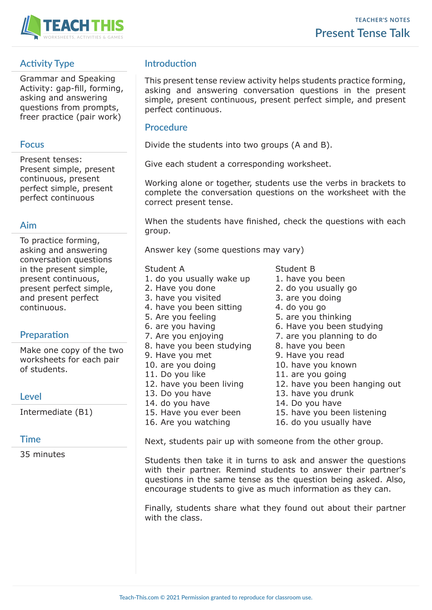

# **Activity Type**

Grammar and Speaking Activity: gap-fill, forming, asking and answering questions from prompts, freer practice (pair work)

### **Focus**

Present tenses: Present simple, present continuous, present perfect simple, present perfect continuous

## **Aim**

To practice forming, asking and answering conversation questions in the present simple, present continuous, present perfect simple, and present perfect continuous.

# **Preparation**

Make one copy of the two worksheets for each pair of students.

## **Level**

Intermediate (B1)

## **Time**

35 minutes

# **Introduction**

This present tense review activity helps students practice forming, asking and answering conversation questions in the present simple, present continuous, present perfect simple, and present perfect continuous.

### **Procedure**

Divide the students into two groups (A and B).

Give each student a corresponding worksheet.

Working alone or together, students use the verbs in brackets to complete the conversation questions on the worksheet with the correct present tense.

When the students have finished, check the questions with each group.

Answer key (some questions may vary)

#### Student A Student B

- 1. do you usually wake up  $1.$  have you been
- 
- 3. have you visited 3. are you doing
- 4. have you been sitting 4. do you go
- 
- 
- 
- 8. have you been studying 8. have you been
- 
- 
- 
- 
- 
- 14. do you have 14. Do you have
- 
- 
- 
- 
- 2. Have you done 2. do you usually go
	-
	-
- 5. Are you feeling 5. are you thinking
- 6. are you having 6. Have you been studying
- 7. Are you enjoying 7. are you planning to do
	-
- 9. Have you met 9. Have you read
- 10. are you doing and the 10. have you known
- 11. Do you like 11. are you going
- 12. have you been living 12. have you been hanging out
- 13. Do you have 13. have you drunk
	-
- 15. Have you ever been 15. have you been listening
- 16. Are you watching 16. do you usually have

Next, students pair up with someone from the other group.

Students then take it in turns to ask and answer the questions with their partner. Remind students to answer their partner's questions in the same tense as the question being asked. Also, encourage students to give as much information as they can.

Finally, students share what they found out about their partner with the class.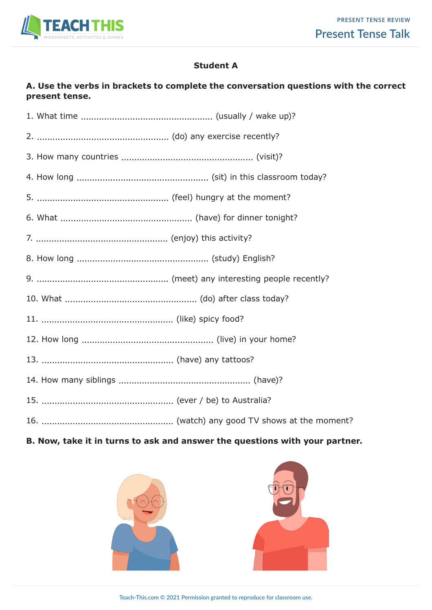

## **Student A**

## **A. Use the verbs in brackets to complete the conversation questions with the correct present tense.**

## **B. Now, take it in turns to ask and answer the questions with your partner.**